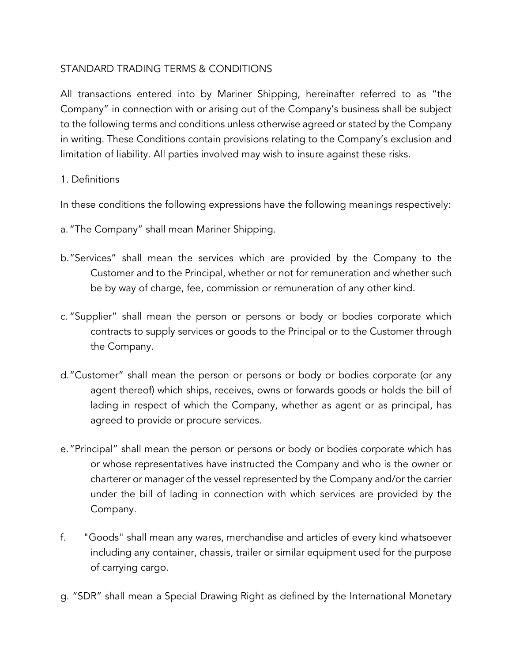# STANDARD TRADING TERMS & CONDITIONS

All transactions entered into by Mariner Shipping, hereinafter referred to as "the Company" in connection with or arising out of the Company's business shall be subject to the following terms and conditions unless otherwise agreed or stated by the Company in writing. These Conditions contain provisions relating to the Company's exclusion and limitation of liability. All parties involved may wish to insure against these risks.

### 1. Definitions

In these conditions the following expressions have the following meanings respectively:

- a."The Company" shall mean Mariner Shipping.
- b."Services" shall mean the services which are provided by the Company to the Customer and to the Principal, whether or not for remuneration and whether such be by way of charge, fee, commission or remuneration of any other kind.
- c. "Supplier" shall mean the person or persons or body or bodies corporate which contracts to supply services or goods to the Principal or to the Customer through the Company.
- d."Customer" shall mean the person or persons or body or bodies corporate (or any agent thereof) which ships, receives, owns or forwards goods or holds the bill of lading in respect of which the Company, whether as agent or as principal, has agreed to provide or procure services.
- e."Principal" shall mean the person or persons or body or bodies corporate which has or whose representatives have instructed the Company and who is the owner or charterer or manager of the vessel represented by the Company and/or the carrier under the bill of lading in connection with which services are provided by the Company.
- f. "Goods" shall mean any wares, merchandise and articles of every kind whatsoever including any container, chassis, trailer or similar equipment used for the purpose of carrying cargo.
- g. "SDR" shall mean a Special Drawing Right as defined by the International Monetary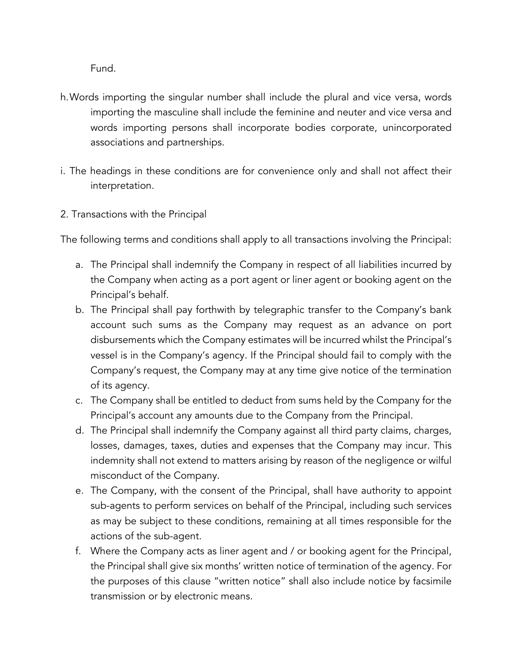Fund.

- h.Words importing the singular number shall include the plural and vice versa, words importing the masculine shall include the feminine and neuter and vice versa and words importing persons shall incorporate bodies corporate, unincorporated associations and partnerships.
- i. The headings in these conditions are for convenience only and shall not affect their interpretation.
- 2. Transactions with the Principal

The following terms and conditions shall apply to all transactions involving the Principal:

- a. The Principal shall indemnify the Company in respect of all liabilities incurred by the Company when acting as a port agent or liner agent or booking agent on the Principal's behalf.
- b. The Principal shall pay forthwith by telegraphic transfer to the Company's bank account such sums as the Company may request as an advance on port disbursements which the Company estimates will be incurred whilst the Principal's vessel is in the Company's agency. If the Principal should fail to comply with the Company's request, the Company may at any time give notice of the termination of its agency.
- c. The Company shall be entitled to deduct from sums held by the Company for the Principal's account any amounts due to the Company from the Principal.
- d. The Principal shall indemnify the Company against all third party claims, charges, losses, damages, taxes, duties and expenses that the Company may incur. This indemnity shall not extend to matters arising by reason of the negligence or wilful misconduct of the Company.
- e. The Company, with the consent of the Principal, shall have authority to appoint sub-agents to perform services on behalf of the Principal, including such services as may be subject to these conditions, remaining at all times responsible for the actions of the sub-agent.
- f. Where the Company acts as liner agent and / or booking agent for the Principal, the Principal shall give six months' written notice of termination of the agency. For the purposes of this clause "written notice" shall also include notice by facsimile transmission or by electronic means.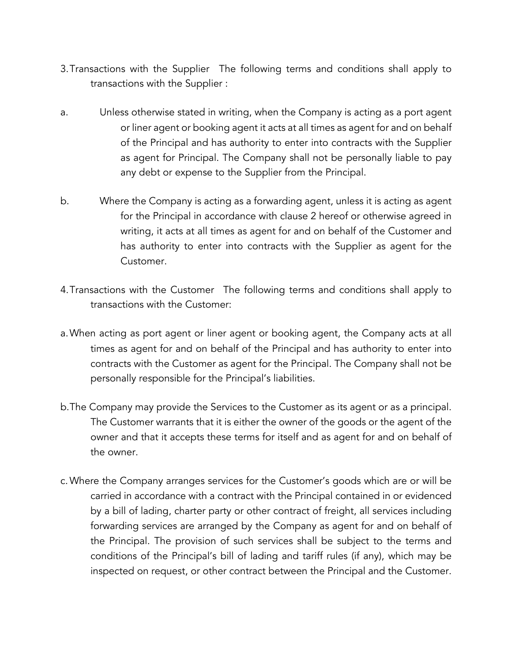- 3.Transactions with the Supplier The following terms and conditions shall apply to transactions with the Supplier :
- a. Unless otherwise stated in writing, when the Company is acting as a port agent or liner agent or booking agent it acts at all times as agent for and on behalf of the Principal and has authority to enter into contracts with the Supplier as agent for Principal. The Company shall not be personally liable to pay any debt or expense to the Supplier from the Principal.
- b. Where the Company is acting as a forwarding agent, unless it is acting as agent for the Principal in accordance with clause 2 hereof or otherwise agreed in writing, it acts at all times as agent for and on behalf of the Customer and has authority to enter into contracts with the Supplier as agent for the Customer.
- 4.Transactions with the Customer The following terms and conditions shall apply to transactions with the Customer:
- a.When acting as port agent or liner agent or booking agent, the Company acts at all times as agent for and on behalf of the Principal and has authority to enter into contracts with the Customer as agent for the Principal. The Company shall not be personally responsible for the Principal's liabilities.
- b.The Company may provide the Services to the Customer as its agent or as a principal. The Customer warrants that it is either the owner of the goods or the agent of the owner and that it accepts these terms for itself and as agent for and on behalf of the owner.
- c.Where the Company arranges services for the Customer's goods which are or will be carried in accordance with a contract with the Principal contained in or evidenced by a bill of lading, charter party or other contract of freight, all services including forwarding services are arranged by the Company as agent for and on behalf of the Principal. The provision of such services shall be subject to the terms and conditions of the Principal's bill of lading and tariff rules (if any), which may be inspected on request, or other contract between the Principal and the Customer.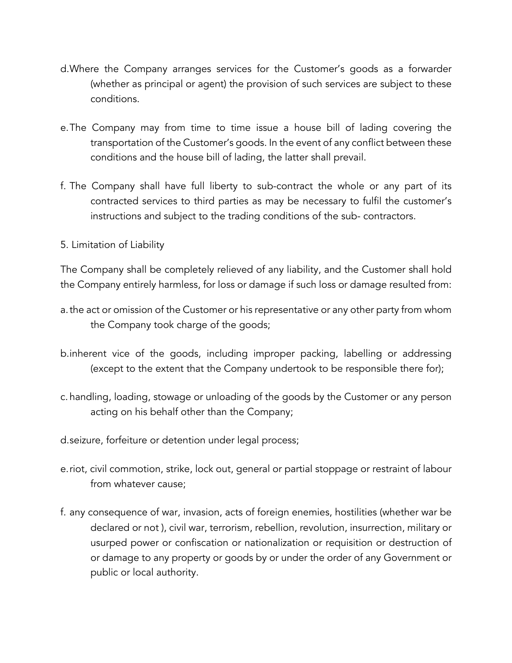- d.Where the Company arranges services for the Customer's goods as a forwarder (whether as principal or agent) the provision of such services are subject to these conditions.
- e.The Company may from time to time issue a house bill of lading covering the transportation of the Customer's goods. In the event of any conflict between these conditions and the house bill of lading, the latter shall prevail.
- f. The Company shall have full liberty to sub-contract the whole or any part of its contracted services to third parties as may be necessary to fulfil the customer's instructions and subject to the trading conditions of the sub- contractors.
- 5. Limitation of Liability

The Company shall be completely relieved of any liability, and the Customer shall hold the Company entirely harmless, for loss or damage if such loss or damage resulted from:

- a.the act or omission of the Customer or his representative or any other party from whom the Company took charge of the goods;
- b.inherent vice of the goods, including improper packing, labelling or addressing (except to the extent that the Company undertook to be responsible there for);
- c. handling, loading, stowage or unloading of the goods by the Customer or any person acting on his behalf other than the Company;
- d.seizure, forfeiture or detention under legal process;
- e.riot, civil commotion, strike, lock out, general or partial stoppage or restraint of labour from whatever cause;
- f. any consequence of war, invasion, acts of foreign enemies, hostilities (whether war be declared or not ), civil war, terrorism, rebellion, revolution, insurrection, military or usurped power or confiscation or nationalization or requisition or destruction of or damage to any property or goods by or under the order of any Government or public or local authority.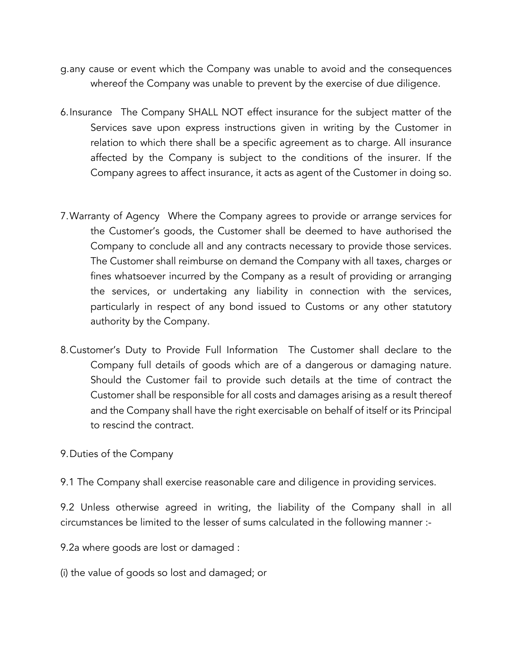- g.any cause or event which the Company was unable to avoid and the consequences whereof the Company was unable to prevent by the exercise of due diligence.
- 6.Insurance The Company SHALL NOT effect insurance for the subject matter of the Services save upon express instructions given in writing by the Customer in relation to which there shall be a specific agreement as to charge. All insurance affected by the Company is subject to the conditions of the insurer. If the Company agrees to affect insurance, it acts as agent of the Customer in doing so.
- 7.Warranty of Agency Where the Company agrees to provide or arrange services for the Customer's goods, the Customer shall be deemed to have authorised the Company to conclude all and any contracts necessary to provide those services. The Customer shall reimburse on demand the Company with all taxes, charges or fines whatsoever incurred by the Company as a result of providing or arranging the services, or undertaking any liability in connection with the services, particularly in respect of any bond issued to Customs or any other statutory authority by the Company.
- 8.Customer's Duty to Provide Full Information The Customer shall declare to the Company full details of goods which are of a dangerous or damaging nature. Should the Customer fail to provide such details at the time of contract the Customer shall be responsible for all costs and damages arising as a result thereof and the Company shall have the right exercisable on behalf of itself or its Principal to rescind the contract.
- 9.Duties of the Company
- 9.1 The Company shall exercise reasonable care and diligence in providing services.

9.2 Unless otherwise agreed in writing, the liability of the Company shall in all circumstances be limited to the lesser of sums calculated in the following manner :-

9.2a where goods are lost or damaged :

(i) the value of goods so lost and damaged; or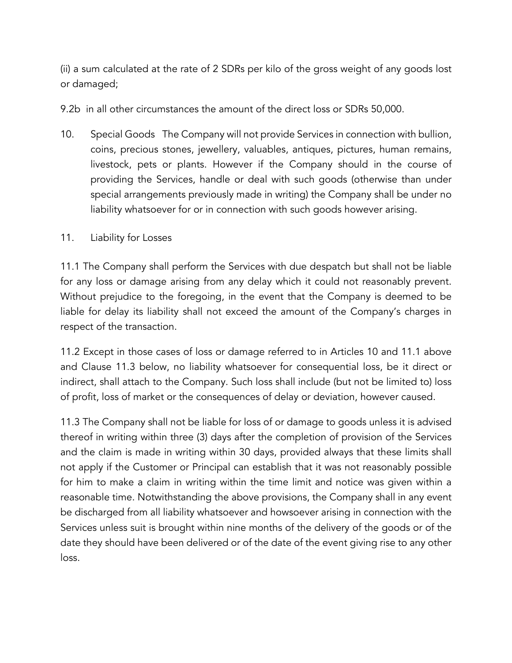(ii) a sum calculated at the rate of 2 SDRs per kilo of the gross weight of any goods lost or damaged;

9.2b in all other circumstances the amount of the direct loss or SDRs 50,000.

10. Special Goods The Company will not provide Services in connection with bullion, coins, precious stones, jewellery, valuables, antiques, pictures, human remains, livestock, pets or plants. However if the Company should in the course of providing the Services, handle or deal with such goods (otherwise than under special arrangements previously made in writing) the Company shall be under no liability whatsoever for or in connection with such goods however arising.

### 11. Liability for Losses

11.1 The Company shall perform the Services with due despatch but shall not be liable for any loss or damage arising from any delay which it could not reasonably prevent. Without prejudice to the foregoing, in the event that the Company is deemed to be liable for delay its liability shall not exceed the amount of the Company's charges in respect of the transaction.

11.2 Except in those cases of loss or damage referred to in Articles 10 and 11.1 above and Clause 11.3 below, no liability whatsoever for consequential loss, be it direct or indirect, shall attach to the Company. Such loss shall include (but not be limited to) loss of profit, loss of market or the consequences of delay or deviation, however caused.

11.3 The Company shall not be liable for loss of or damage to goods unless it is advised thereof in writing within three (3) days after the completion of provision of the Services and the claim is made in writing within 30 days, provided always that these limits shall not apply if the Customer or Principal can establish that it was not reasonably possible for him to make a claim in writing within the time limit and notice was given within a reasonable time. Notwithstanding the above provisions, the Company shall in any event be discharged from all liability whatsoever and howsoever arising in connection with the Services unless suit is brought within nine months of the delivery of the goods or of the date they should have been delivered or of the date of the event giving rise to any other loss.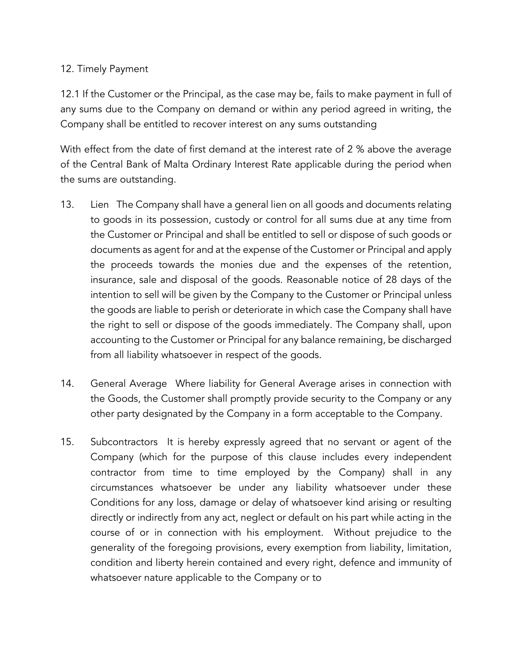## 12. Timely Payment

12.1 If the Customer or the Principal, as the case may be, fails to make payment in full of any sums due to the Company on demand or within any period agreed in writing, the Company shall be entitled to recover interest on any sums outstanding

With effect from the date of first demand at the interest rate of 2 % above the average of the Central Bank of Malta Ordinary Interest Rate applicable during the period when the sums are outstanding.

- 13. Lien The Company shall have a general lien on all goods and documents relating to goods in its possession, custody or control for all sums due at any time from the Customer or Principal and shall be entitled to sell or dispose of such goods or documents as agent for and at the expense of the Customer or Principal and apply the proceeds towards the monies due and the expenses of the retention, insurance, sale and disposal of the goods. Reasonable notice of 28 days of the intention to sell will be given by the Company to the Customer or Principal unless the goods are liable to perish or deteriorate in which case the Company shall have the right to sell or dispose of the goods immediately. The Company shall, upon accounting to the Customer or Principal for any balance remaining, be discharged from all liability whatsoever in respect of the goods.
- 14. General Average Where liability for General Average arises in connection with the Goods, the Customer shall promptly provide security to the Company or any other party designated by the Company in a form acceptable to the Company.
- 15. Subcontractors It is hereby expressly agreed that no servant or agent of the Company (which for the purpose of this clause includes every independent contractor from time to time employed by the Company) shall in any circumstances whatsoever be under any liability whatsoever under these Conditions for any loss, damage or delay of whatsoever kind arising or resulting directly or indirectly from any act, neglect or default on his part while acting in the course of or in connection with his employment. Without prejudice to the generality of the foregoing provisions, every exemption from liability, limitation, condition and liberty herein contained and every right, defence and immunity of whatsoever nature applicable to the Company or to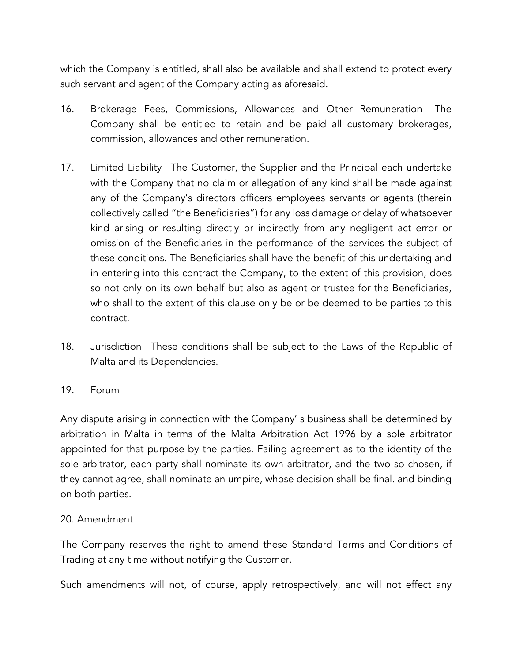which the Company is entitled, shall also be available and shall extend to protect every such servant and agent of the Company acting as aforesaid.

- 16. Brokerage Fees, Commissions, Allowances and Other Remuneration The Company shall be entitled to retain and be paid all customary brokerages, commission, allowances and other remuneration.
- 17. Limited Liability The Customer, the Supplier and the Principal each undertake with the Company that no claim or allegation of any kind shall be made against any of the Company's directors officers employees servants or agents (therein collectively called "the Beneficiaries") for any loss damage or delay of whatsoever kind arising or resulting directly or indirectly from any negligent act error or omission of the Beneficiaries in the performance of the services the subject of these conditions. The Beneficiaries shall have the benefit of this undertaking and in entering into this contract the Company, to the extent of this provision, does so not only on its own behalf but also as agent or trustee for the Beneficiaries, who shall to the extent of this clause only be or be deemed to be parties to this contract.
- 18. Jurisdiction These conditions shall be subject to the Laws of the Republic of Malta and its Dependencies.
- 19. Forum

Any dispute arising in connection with the Company' s business shall be determined by arbitration in Malta in terms of the Malta Arbitration Act 1996 by a sole arbitrator appointed for that purpose by the parties. Failing agreement as to the identity of the sole arbitrator, each party shall nominate its own arbitrator, and the two so chosen, if they cannot agree, shall nominate an umpire, whose decision shall be final. and binding on both parties.

#### 20. Amendment

The Company reserves the right to amend these Standard Terms and Conditions of Trading at any time without notifying the Customer.

Such amendments will not, of course, apply retrospectively, and will not effect any